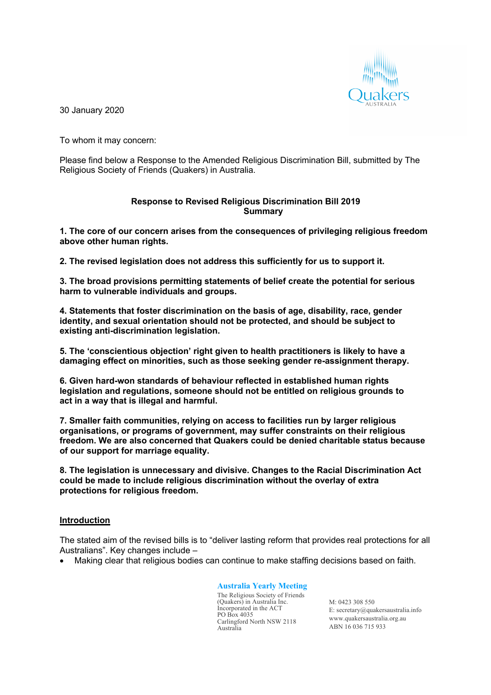

30 January 2020

To whom it may concern:

Please find below a Response to the Amended Religious Discrimination Bill, submitted by The Religious Society of Friends (Quakers) in Australia.

## **Response to Revised Religious Discrimination Bill 2019 Summary**

**1. The core of our concern arises from the consequences of privileging religious freedom above other human rights.**

**2. The revised legislation does not address this sufficiently for us to support it.**

**3. The broad provisions permitting statements of belief create the potential for serious harm to vulnerable individuals and groups.**

**4. Statements that foster discrimination on the basis of age, disability, race, gender identity, and sexual orientation should not be protected, and should be subject to existing anti-discrimination legislation.**

**5. The 'conscientious objection' right given to health practitioners is likely to have a damaging effect on minorities, such as those seeking gender re-assignment therapy.**

**6. Given hard-won standards of behaviour reflected in established human rights legislation and regulations, someone should not be entitled on religious grounds to act in a way that is illegal and harmful.**

**7. Smaller faith communities, relying on access to facilities run by larger religious organisations, or programs of government, may suffer constraints on their religious freedom. We are also concerned that Quakers could be denied charitable status because of our support for marriage equality.**

**8. The legislation is unnecessary and divisive. Changes to the Racial Discrimination Act could be made to include religious discrimination without the overlay of extra protections for religious freedom.**

# **Introduction**

The stated aim of the revised bills is to "deliver lasting reform that provides real protections for all Australians". Key changes include –

• Making clear that religious bodies can continue to make staffing decisions based on faith.

## **Australia Yearly Meeting**

The Religious Society of Friends (Quakers) in Australia Inc. Incorporated in the ACT PO Box 4035 Carlingford North NSW 2118 Australia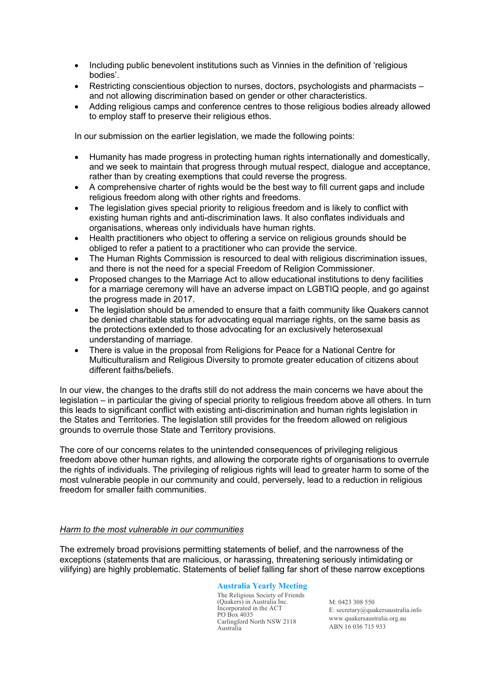- Including public benevolent institutions such as Vinnies in the definition of 'religious bodies'.
- Restricting conscientious objection to nurses, doctors, psychologists and pharmacists and not allowing discrimination based on gender or other characteristics.
- Adding religious camps and conference centres to those religious bodies already allowed to employ staff to preserve their religious ethos.

In our submission on the earlier legislation, we made the following points:

- Humanity has made progress in protecting human rights internationally and domestically, and we seek to maintain that progress through mutual respect, dialogue and acceptance, rather than by creating exemptions that could reverse the progress.
- A comprehensive charter of rights would be the best way to fill current gaps and include religious freedom along with other rights and freedoms.
- The legislation gives special priority to religious freedom and is likely to conflict with existing human rights and anti-discrimination laws. It also conflates individuals and organisations, whereas only individuals have human rights.
- Health practitioners who object to offering a service on religious grounds should be obliged to refer a patient to a practitioner who can provide the service.
- The Human Rights Commission is resourced to deal with religious discrimination issues, and there is not the need for a special Freedom of Religion Commissioner.
- Proposed changes to the Marriage Act to allow educational institutions to deny facilities for a marriage ceremony will have an adverse impact on LGBTIQ people, and go against the progress made in 2017.
- The legislation should be amended to ensure that a faith community like Quakers cannot be denied charitable status for advocating equal marriage rights, on the same basis as the protections extended to those advocating for an exclusively heterosexual understanding of marriage.
- There is value in the proposal from Religions for Peace for a National Centre for Multiculturalism and Religious Diversity to promote greater education of citizens about different faiths/beliefs.

In our view, the changes to the drafts still do not address the main concerns we have about the legislation – in particular the giving of special priority to religious freedom above all others. In turn this leads to significant conflict with existing anti-discrimination and human rights legislation in the States and Territories. The legislation still provides for the freedom allowed on religious grounds to overrule those State and Territory provisions.

The core of our concerns relates to the unintended consequences of privileging religious freedom above other human rights, and allowing the corporate rights of organisations to overrule the rights of individuals. The privileging of religious rights will lead to greater harm to some of the most vulnerable people in our community and could, perversely, lead to a reduction in religious freedom for smaller faith communities.

### *Harm to the most vulnerable in our communities*

The extremely broad provisions permitting statements of belief, and the narrowness of the exceptions (statements that are malicious, or harassing, threatening seriously intimidating or vilifying) are highly problematic. Statements of belief falling far short of these narrow exceptions

### **Australia Yearly Meeting**

The Religious Society of Friends (Quakers) in Australia Inc. Incorporated in the ACT PO Box 4035 Carlingford North NSW 2118 Australia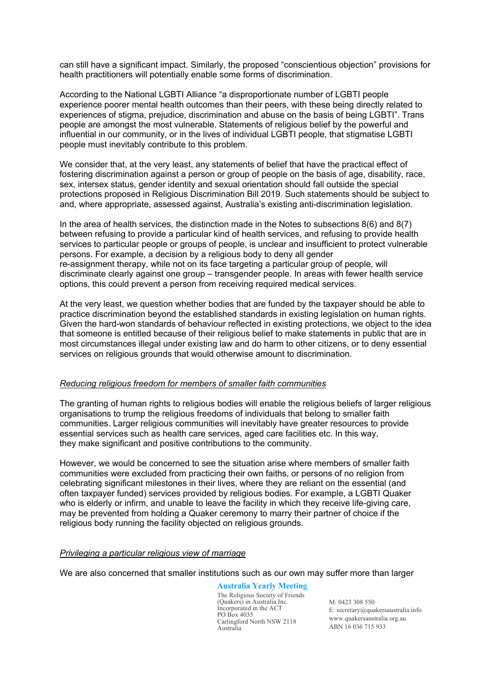can still have a significant impact. Similarly, the proposed "conscientious objection" provisions for health practitioners will potentially enable some forms of discrimination.

According to the National LGBTI Alliance "a disproportionate number of LGBTI people experience poorer mental health outcomes than their peers, with these being directly related to experiences of stigma, prejudice, discrimination and abuse on the basis of being LGBTI". Trans people are amongst the most vulnerable. Statements of religious belief by the powerful and influential in our community, or in the lives of individual LGBTI people, that stigmatise LGBTI people must inevitably contribute to this problem.

We consider that, at the very least, any statements of belief that have the practical effect of fostering discrimination against a person or group of people on the basis of age, disability, race, sex, intersex status, gender identity and sexual orientation should fall outside the special protections proposed in Religious Discrimination Bill 2019. Such statements should be subject to and, where appropriate, assessed against, Australia's existing anti-discrimination legislation.

In the area of health services, the distinction made in the Notes to subsections  $8(6)$  and  $8(7)$ between refusing to provide a particular kind of health services, and refusing to provide health services to particular people or groups of people, is unclear and insufficient to protect vulnerable persons. For example, a decision by a religious body to deny all gender re-assignment therapy, while not on its face targeting a particular group of people, will discriminate clearly against one group – transgender people. In areas with fewer health service options, this could prevent a person from receiving required medical services.

At the very least, we question whether bodies that are funded by the taxpayer should be able to practice discrimination beyond the established standards in existing legislation on human rights. Given the hard-won standards of behaviour reflected in existing protections, we object to the idea that someone is entitled because of their religious belief to make statements in public that are in most circumstances illegal under existing law and do harm to other citizens, or to deny essential services on religious grounds that would otherwise amount to discrimination.

### *Reducing religious freedom for members of smaller faith communities*

The granting of human rights to religious bodies will enable the religious beliefs of larger religious organisations to trump the religious freedoms of individuals that belong to smaller faith communities. Larger religious communities will inevitably have greater resources to provide essential services such as health care services, aged care facilities etc. In this way, they make significant and positive contributions to the community.

However, we would be concerned to see the situation arise where members of smaller faith communities were excluded from practicing their own faiths, or persons of no religion from celebrating significant milestones in their lives, where they are reliant on the essential (and often taxpayer funded) services provided by religious bodies. For example, a LGBTI Quaker who is elderly or infirm, and unable to leave the facility in which they receive life-giving care, may be prevented from holding a Quaker ceremony to marry their partner of choice if the religious body running the facility objected on religious grounds.

### *Privileging a particular religious view of marriage*

We are also concerned that smaller institutions such as our own may suffer more than larger

#### **Australia Yearly Meeting**

The Religious Society of Friends (Quakers) in Australia Inc. Incorporated in the ACT PO Box 4035 Carlingford North NSW 2118 Australia